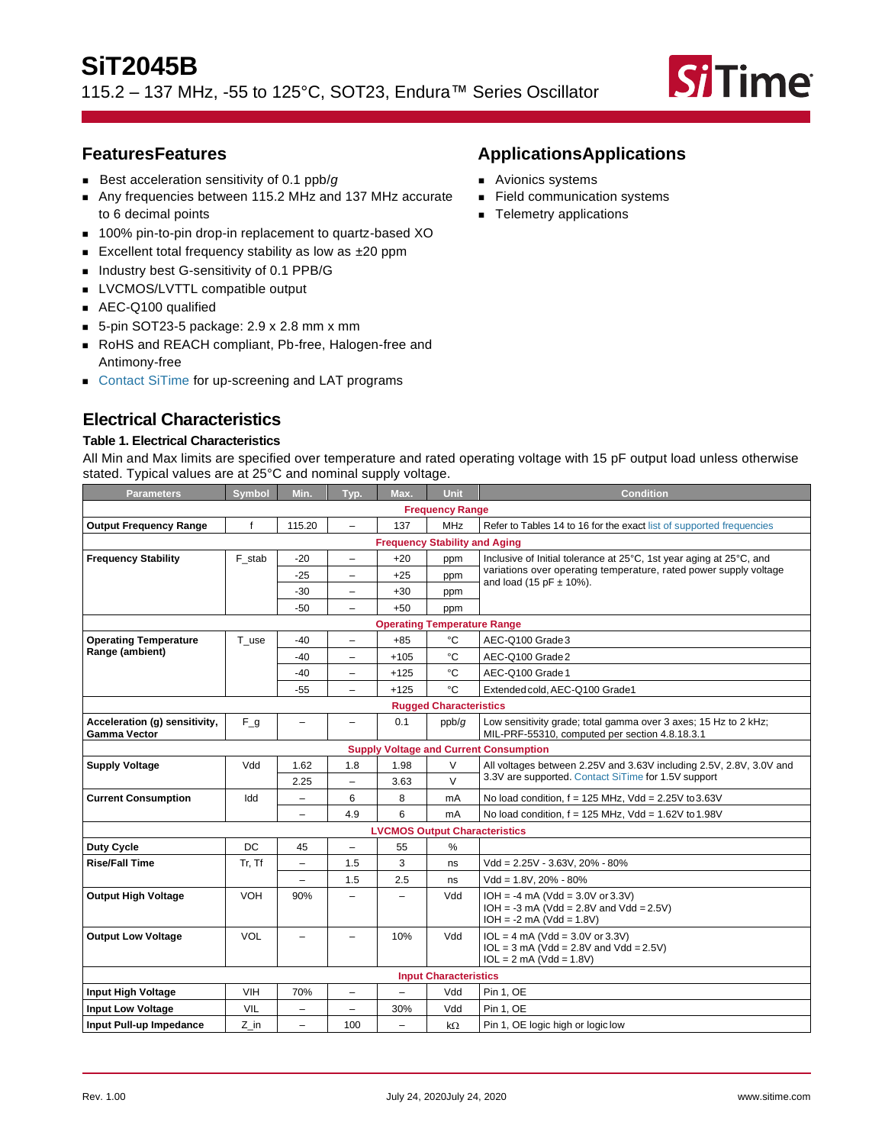115.2 – 137 MHz, -55 to 125°C, SOT23, Endura™ Series Oscillator



# **FeaturesFeatures**

- Best acceleration sensitivity of 0.1 ppb/*g*
- Any frequencies between 115.2 MHz and 137 MHz accurate to 6 decimal points
- 100% pin-to-pin drop-in replacement to quartz-based XO
- Excellent total frequency stability as low as ±20 ppm
- Industry best G-sensitivity of 0.1 PPB/G
- LVCMOS/LVTTL compatible output
- AEC-Q100 qualified
- 5-pin SOT23-5 package: 2.9 x 2.8 mm x mm
- RoHS and REACH compliant, Pb-free, Halogen-free and Antimony-free
- [Contact SiTime](https://www.sitime.com/contact-us) for up-screening and LAT programs

# **Electrical Characteristics**

## **Table 1. Electrical Characteristics**

All Min and Max limits are specified over temperature and rated operating voltage with 15 pF output load unless otherwise stated. Typical values are at 25°C and nominal supply voltage.

| Parameters                                           | <b>Symbol</b> | Min.                     | Typ.                     | Max.                                 | <b>Unit</b>                   | <b>Condition</b>                                                                                                  |  |
|------------------------------------------------------|---------------|--------------------------|--------------------------|--------------------------------------|-------------------------------|-------------------------------------------------------------------------------------------------------------------|--|
| <b>Frequency Range</b>                               |               |                          |                          |                                      |                               |                                                                                                                   |  |
| <b>Output Frequency Range</b>                        | f             | 115.20                   | $\overline{\phantom{0}}$ | 137                                  | <b>MHz</b>                    | Refer to Tables 14 to 16 for the exact list of supported frequencies                                              |  |
|                                                      |               |                          |                          | <b>Frequency Stability and Aging</b> |                               |                                                                                                                   |  |
| <b>Frequency Stability</b>                           | F stab        | -20                      | $\overline{\phantom{0}}$ | $+20$                                | ppm                           | Inclusive of Initial tolerance at 25°C, 1st year aging at 25°C, and                                               |  |
|                                                      |               | $-25$                    | -                        | $+25$                                | ppm                           | variations over operating temperature, rated power supply voltage<br>and load (15 pF $\pm$ 10%).                  |  |
|                                                      |               | -30                      | $\overline{\phantom{0}}$ | $+30$                                | ppm                           |                                                                                                                   |  |
|                                                      |               | -50                      | ÷                        | $+50$                                | ppm                           |                                                                                                                   |  |
|                                                      |               |                          |                          | <b>Operating Temperature Range</b>   |                               |                                                                                                                   |  |
| <b>Operating Temperature</b>                         | T use         | -40                      | -                        | $+85$                                | °C                            | AEC-Q100 Grade 3                                                                                                  |  |
| Range (ambient)                                      |               | -40                      | -                        | +105                                 | °C                            | AEC-Q100 Grade 2                                                                                                  |  |
|                                                      |               | -40                      | $\overline{\phantom{0}}$ | $+125$                               | °C                            | AEC-Q100 Grade 1                                                                                                  |  |
|                                                      |               | $-55$                    | $\overline{\phantom{0}}$ | $+125$                               | °C                            | Extended cold. AEC-Q100 Grade1                                                                                    |  |
|                                                      |               |                          |                          |                                      | <b>Rugged Characteristics</b> |                                                                                                                   |  |
| Acceleration (g) sensitivity,<br><b>Gamma Vector</b> | $F_g$         | $\overline{\phantom{0}}$ | ▃                        | 0.1                                  | ppb/g                         | Low sensitivity grade; total gamma over 3 axes; 15 Hz to 2 kHz;<br>MIL-PRF-55310, computed per section 4.8.18.3.1 |  |
|                                                      |               |                          |                          |                                      |                               | <b>Supply Voltage and Current Consumption</b>                                                                     |  |
| <b>Supply Voltage</b>                                | Vdd           | 1.62                     | 1.8                      | 1.98                                 | $\vee$                        | All voltages between 2.25V and 3.63V including 2.5V, 2.8V, 3.0V and                                               |  |
|                                                      |               | 2.25                     | $\overline{\phantom{0}}$ | 3.63                                 | $\vee$                        | 3.3V are supported. Contact SiTime for 1.5V support                                                               |  |
| <b>Current Consumption</b>                           | Idd           | $\overline{\phantom{m}}$ | 6                        | 8                                    | mA                            | No load condition, $f = 125$ MHz, Vdd = 2.25V to 3.63V                                                            |  |
|                                                      |               | $\overline{\phantom{0}}$ | 4.9                      | 6                                    | mA                            | No load condition, $f = 125$ MHz, Vdd = $1.62V$ to $1.98V$                                                        |  |
|                                                      |               |                          |                          | <b>LVCMOS Output Characteristics</b> |                               |                                                                                                                   |  |
| <b>Duty Cycle</b>                                    | DC            | 45                       | $\overline{\phantom{0}}$ | 55                                   | $\frac{9}{6}$                 |                                                                                                                   |  |
| <b>Rise/Fall Time</b>                                | Tr, Tf        | $\overline{\phantom{0}}$ | 1.5                      | 3                                    | ns                            | Vdd = 2.25V - 3.63V, 20% - 80%                                                                                    |  |
|                                                      |               | $\overline{\phantom{m}}$ | 1.5                      | 2.5                                  | ns                            | $Vdd = 1.8V, 20\% - 80\%$                                                                                         |  |
| <b>Output High Voltage</b>                           | VOH           | 90%                      | -                        |                                      | Vdd                           | $IOH = -4 mA (Vdd = 3.0V or 3.3V)$<br>$IOH = -3 mA (Vdd = 2.8V and Vdd = 2.5V)$<br>$IOH = -2 mA (Vdd = 1.8V)$     |  |
| <b>Output Low Voltage</b>                            | VOL           | $\overline{\phantom{0}}$ | -                        | 10%                                  | Vdd                           | $IOL = 4 mA (Vdd = 3.0V or 3.3V)$<br>$IOL = 3 mA (Vdd = 2.8V and Vdd = 2.5V)$<br>$IOL = 2 mA (Vdd = 1.8V)$        |  |
|                                                      |               |                          |                          |                                      | <b>Input Characteristics</b>  |                                                                                                                   |  |
| <b>Input High Voltage</b>                            | VIH           | 70%                      | $\overline{\phantom{0}}$ |                                      | Vdd                           | Pin 1, OE                                                                                                         |  |
| <b>Input Low Voltage</b>                             | VIL           | $\overline{\phantom{0}}$ | $\overline{\phantom{0}}$ | 30%                                  | Vdd                           | Pin 1, OE                                                                                                         |  |
| Input Pull-up Impedance                              | Z in          |                          | 100                      |                                      | $k\Omega$                     | Pin 1, OE logic high or logic low                                                                                 |  |

# **ApplicationsApplications**

- Avionics systems
- Field communication systems
- Telemetry applications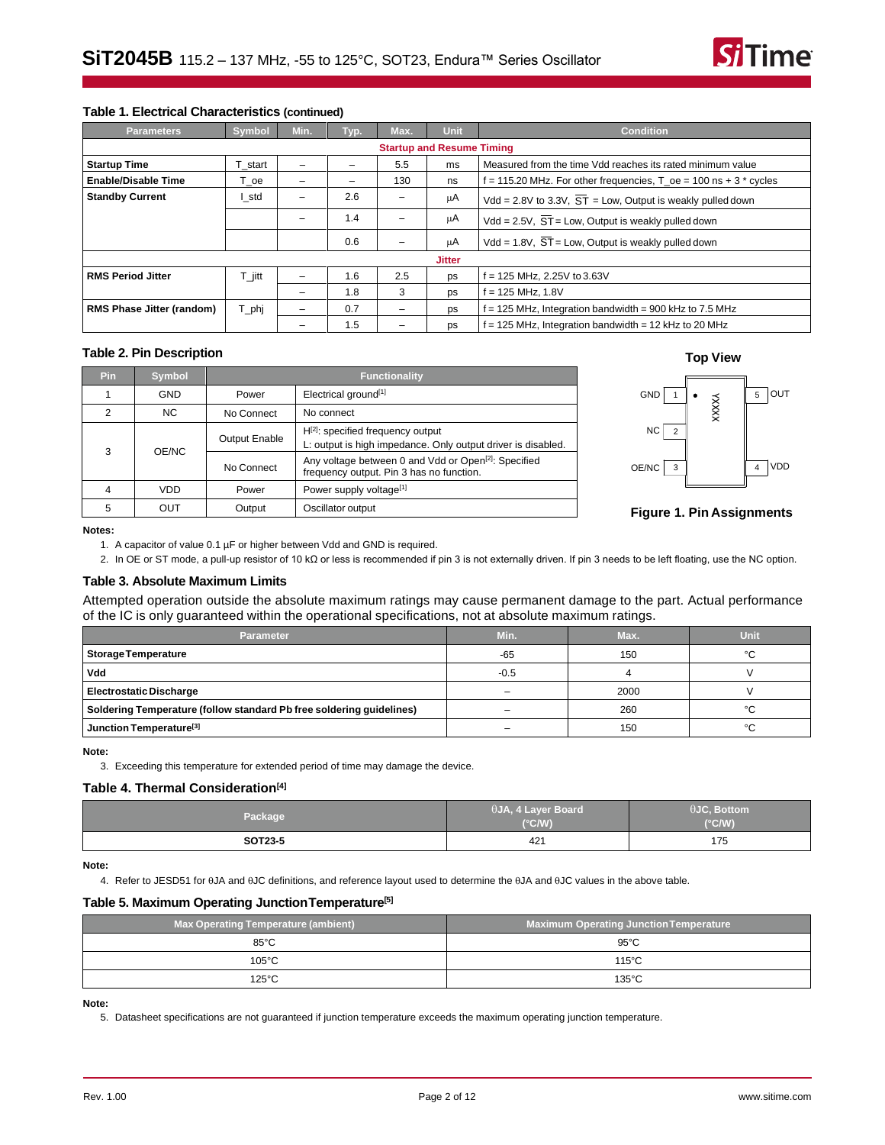

### **Table 1. Electrical Characteristics (continued)**

| <b>Parameters</b>                | <b>Symbol</b> | Min.                     | Typ. | Max.                     | <b>Unit</b>   | <b>Condition</b>                                                        |  |  |
|----------------------------------|---------------|--------------------------|------|--------------------------|---------------|-------------------------------------------------------------------------|--|--|
| <b>Startup and Resume Timing</b> |               |                          |      |                          |               |                                                                         |  |  |
| <b>Startup Time</b>              | T start       | $\overline{\phantom{0}}$ |      | 5.5                      | ms            | Measured from the time Vdd reaches its rated minimum value              |  |  |
| <b>Enable/Disable Time</b>       | ⊺_oe          | -                        |      | 130                      | ns            | $f = 115.20$ MHz. For other frequencies, T $oe = 100$ ns $+3$ * cycles  |  |  |
| <b>Standby Current</b>           | I std         |                          | 2.6  |                          | μA            | Vdd = 2.8V to 3.3V, $\overline{ST}$ = Low, Output is weakly pulled down |  |  |
|                                  |               |                          | 1.4  |                          | μA            | $Vdd = 2.5V$ , $ST = Low$ , Output is weakly pulled down                |  |  |
|                                  |               |                          | 0.6  |                          | μA            | Vdd = $1.8V$ , $\overline{ST}$ = Low, Output is weakly pulled down      |  |  |
|                                  |               |                          |      |                          | <b>Jitter</b> |                                                                         |  |  |
| <b>RMS Period Jitter</b>         | $T$ jitt      | -                        | 1.6  | 2.5                      | ps            | f = 125 MHz, 2.25V to 3.63V                                             |  |  |
|                                  |               |                          | 1.8  | 3                        | ps            | i = 125 MHz, 1.8V                                                       |  |  |
| RMS Phase Jitter (random)        | T_phj         | $\overline{\phantom{0}}$ | 0.7  | $\overline{\phantom{0}}$ | ps            | $f = 125$ MHz, Integration bandwidth = 900 kHz to 7.5 MHz               |  |  |
|                                  |               |                          | 1.5  |                          | ps            | f = 125 MHz, Integration bandwidth = 12 kHz to 20 MHz                   |  |  |

# **Table 2. Pin Description Top View**

| <b>Pin</b> | <b>Symbol</b>        | <b>Functionality</b>                                                                                   |                                                                                                              |  |
|------------|----------------------|--------------------------------------------------------------------------------------------------------|--------------------------------------------------------------------------------------------------------------|--|
|            | <b>GND</b>           | Power                                                                                                  | Electrical ground <sup>[1]</sup>                                                                             |  |
| 2          | NC.                  | No Connect                                                                                             | No connect                                                                                                   |  |
| 3<br>OE/NC | <b>Output Enable</b> | $H^{[2]}$ : specified frequency output<br>L: output is high impedance. Only output driver is disabled. |                                                                                                              |  |
|            |                      | No Connect                                                                                             | Any voltage between 0 and Vdd or Open <sup>[2]</sup> : Specified<br>frequency output. Pin 3 has no function. |  |
|            | <b>VDD</b>           | Power                                                                                                  | Power supply voltage <sup>[1]</sup>                                                                          |  |
| 5          | OUT                  | Output                                                                                                 | Oscillator output                                                                                            |  |





## **Figure 1. Pin Assignments**

<span id="page-1-0"></span>**Notes:**

1. A capacitor of value 0.1 µF or higher between Vdd and GND is required.

2. In OE or ST mode, a pull-up resistor of 10 kΩ or less is recommended if pin 3 is not externally driven. If pin 3 needs to be left floating, use the NC option.

### <span id="page-1-1"></span>**Table 3. Absolute Maximum Limits**

Attempted operation outside the absolute maximum ratings may cause permanent damage to the part. Actual performance of the IC is only guaranteed within the operational specifications, not at absolute maximum ratings.

| <b>Parameter</b>                                                     | Min.   | Max. | Unit |
|----------------------------------------------------------------------|--------|------|------|
| <b>Storage Temperature</b>                                           | $-65$  | 150  | °C   |
| Vdd                                                                  | $-0.5$ |      |      |
| <b>Electrostatic Discharge</b>                                       | -      | 2000 |      |
| Soldering Temperature (follow standard Pb free soldering guidelines) |        | 260  | °C   |
| Junction Temperature <sup>[3]</sup>                                  | -      | 150  | °C   |

<span id="page-1-2"></span>**Note:**

3. Exceeding this temperature for extended period of time may damage the device.

#### **Table 4. Thermal Consideration[\[4\]](#page-1-3)**

| Package | $\theta$ JA, 4 Layer Board<br>$(^{\circ}C/W)$ | $\theta$ JC, Bottom<br>$(^{\circ}C/W)$ |
|---------|-----------------------------------------------|----------------------------------------|
| SOT23-5 | 421                                           | 175                                    |

<span id="page-1-3"></span>**Note:**

4. Refer to JESD51 for  $\theta$ JA and  $\theta$ JC definitions, and reference layout used to determine the  $\theta$ JA and  $\theta$ JC values in the above table.

### **Table 5. Maximum Operating JunctionTemperature[\[5\]](#page-1-4)**

| <b>Max Operating Temperature (ambient)</b> | <b>Maximum Operating Junction Temperature</b> |  |
|--------------------------------------------|-----------------------------------------------|--|
| $85^{\circ}$ C                             | $95^{\circ}$ C                                |  |
| $105^{\circ}$ C                            | $115^{\circ}$ C                               |  |
| $125^{\circ}$ C                            | $135^{\circ}$ C                               |  |

#### <span id="page-1-4"></span>**Note:**

5. Datasheet specifications are not guaranteed if junction temperature exceeds the maximum operating junction temperature.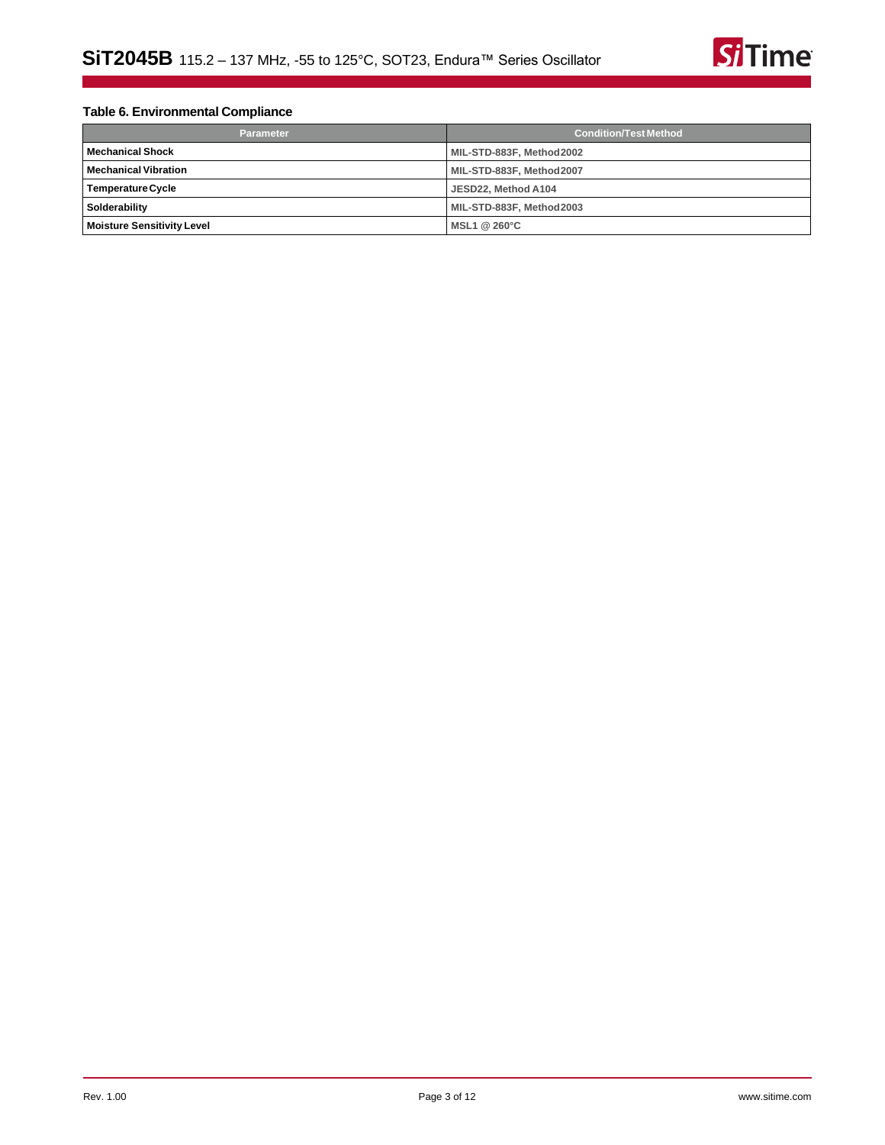

# **Table 6. Environmental Compliance**

| <b>Parameter</b>                  | <b>Condition/Test Method</b> |  |
|-----------------------------------|------------------------------|--|
| <b>Mechanical Shock</b>           | MIL-STD-883F, Method2002     |  |
| <b>Mechanical Vibration</b>       | MIL-STD-883F, Method2007     |  |
| Temperature Cycle                 | JESD22. Method A104          |  |
| Solderability                     | MIL-STD-883F, Method2003     |  |
| <b>Moisture Sensitivity Level</b> | MSL1 $@$ 260 $°C$            |  |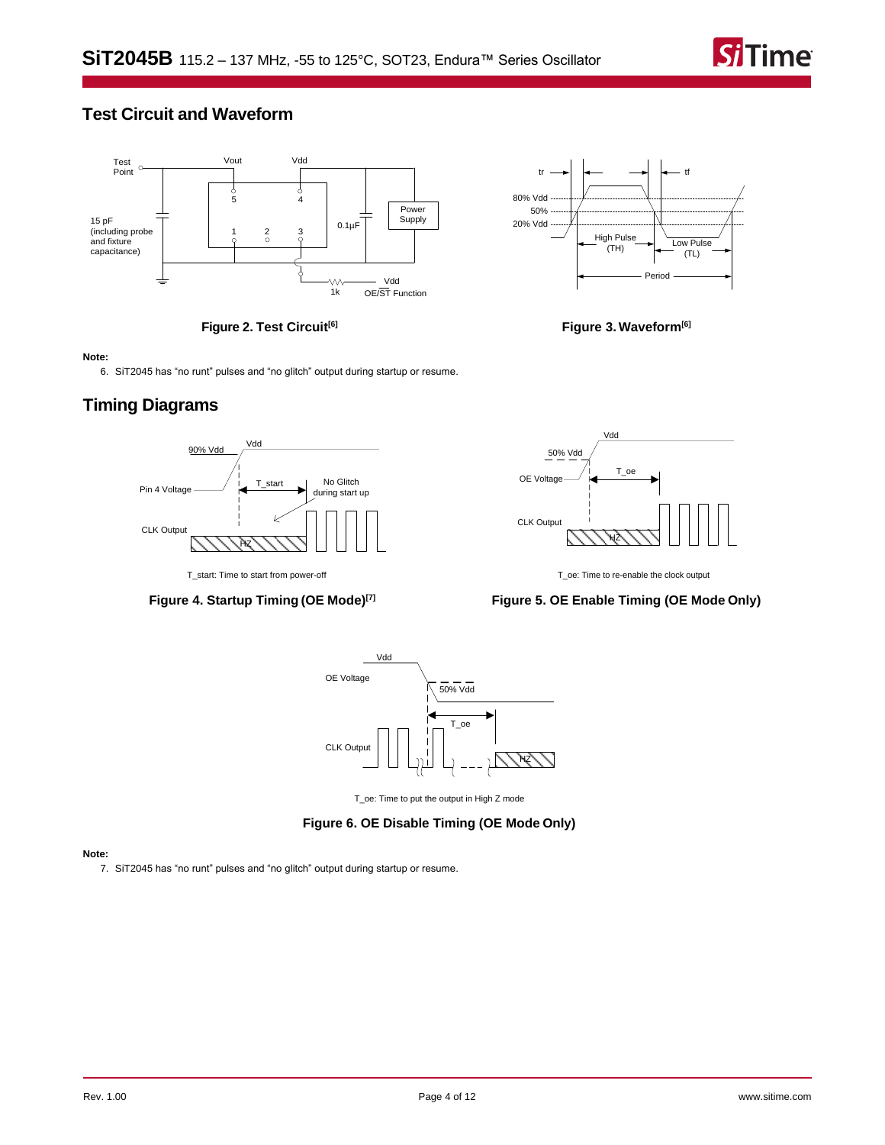

# **Test Circuit and Waveform**



**Figure 2. Test Circuit[\[6\]](#page-3-1)**



**Figure 3. Waveform[\[6\]](#page-3-1)**

#### <span id="page-3-1"></span>**Note:**

6. SiT2045 has "no runt" pulses and "no glitch" output during startup or resume.

# **Timing Diagrams**



**Figure 4. Startup Timing (OE Mode)[\[7\]](#page-3-0)**



T\_oe: Time to re-enable the clock output

# **Figure 5. OE Enable Timing (OE Mode Only)**



T\_oe: Time to put the output in High Z mode

## **Figure 6. OE Disable Timing (OE Mode Only)**

#### <span id="page-3-0"></span>**Note:**

7. SiT2045 has "no runt" pulses and "no glitch" output during startup or resume.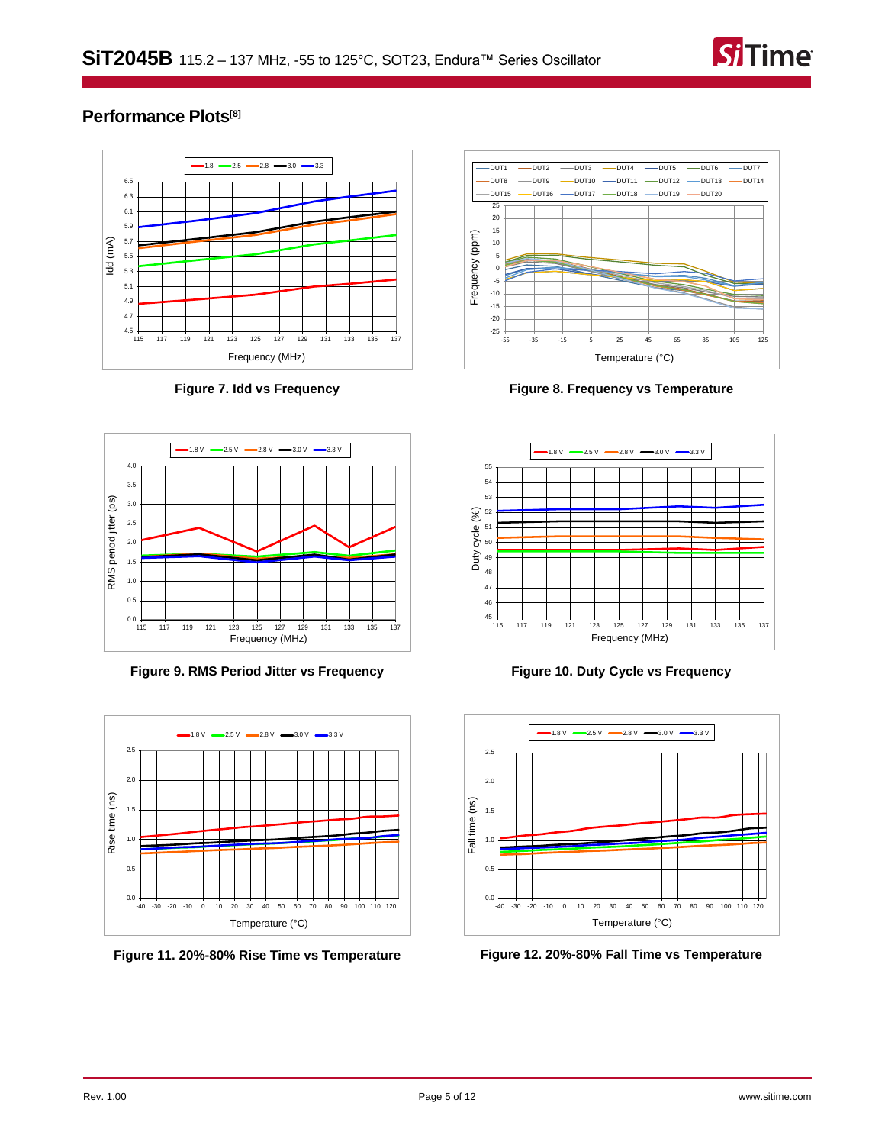

# **Performance Plots[\[8\]](#page-5-0)**



**Figure 7. Idd vs Frequency**



**Figure 9. RMS Period Jitter vs Frequency**



**Figure 11. 20%-80% Rise Time vs Temperature**



**Figure 8. Frequency vs Temperature**



**Figure 10. Duty Cycle vs Frequency**



**Figure 12. 20%-80% Fall Time vs Temperature**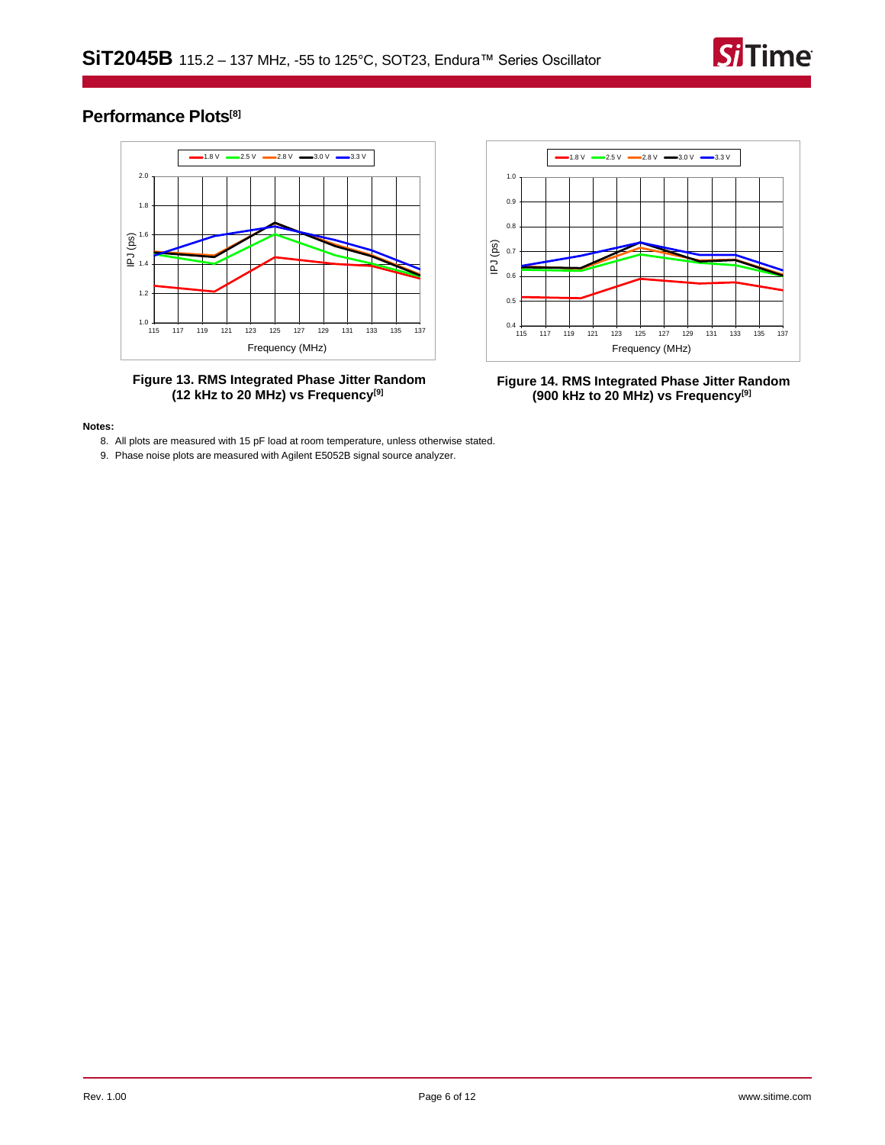

# **Performance Plots[\[8\]](#page-5-0)**



**Figure 13. RMS Integrated Phase Jitter Random (12 kHz to 20 MHz) vs Frequency[\[9\]](#page-5-1)**



**Figure 14. RMS Integrated Phase Jitter Random (900 kHz to 20 MHz) vs Frequency[\[9\]](#page-5-1)**

#### <span id="page-5-1"></span><span id="page-5-0"></span>**Notes:**

- 8. All plots are measured with 15 pF load at room temperature, unless otherwise stated.
- 9. Phase noise plots are measured with Agilent E5052B signal source analyzer.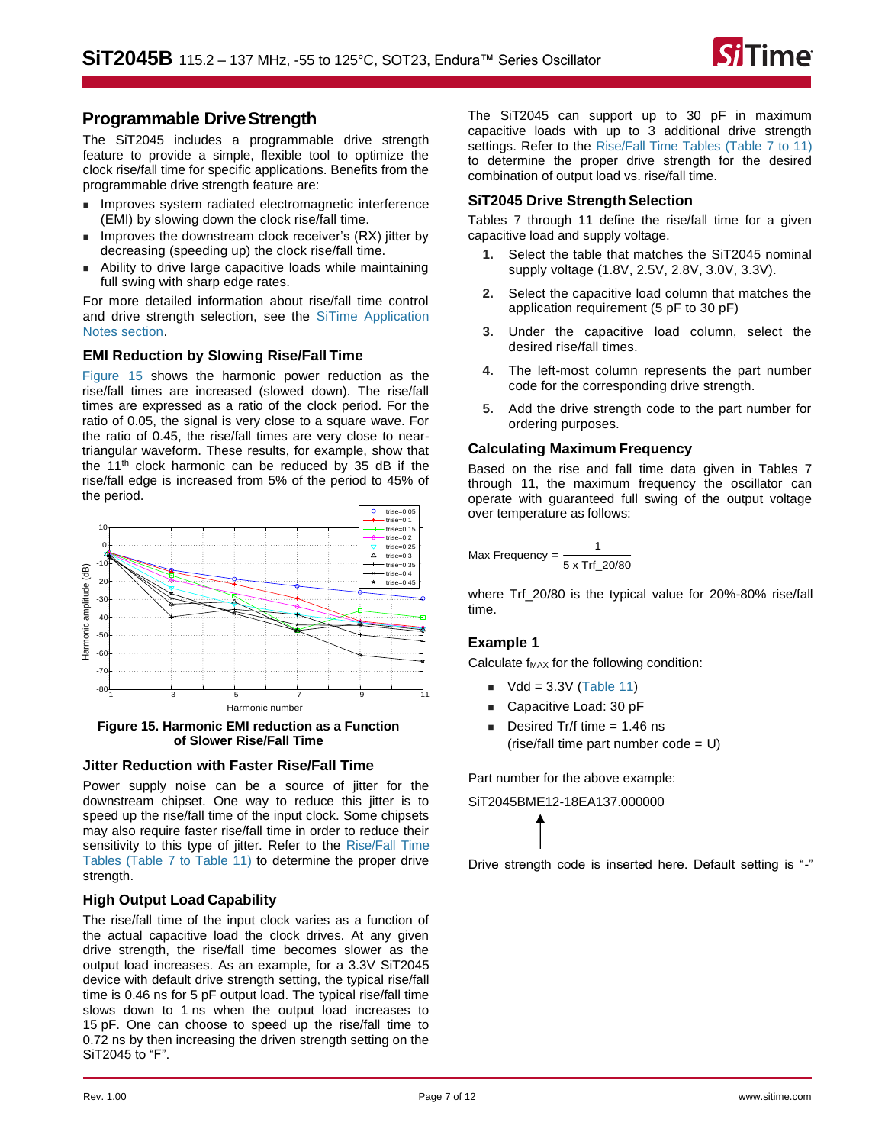

# **Programmable DriveStrength**

The [SiT2045](https://www.sitime.com/products/lvcmos-ruggedized-oscillators/sit2045) includes a programmable drive strength feature to provide a simple, flexible tool to optimize the clock rise/fall time for specific applications. Benefits from the programmable drive strength feature are:

- Improves system radiated electromagnetic interference (EMI) by slowing down the clock rise/fall time.
- Improves the downstream clock receiver's (RX) jitter by decreasing (speeding up) the clock rise/fall time.
- Ability to drive large capacitive loads while maintaining full swing with sharp edge rates.

For more detailed information about rise/fall time control and drive strength selection, see the [SiTime Application](https://www.sitime.com/support/resource-library?filter=641)  Notes [section.](https://www.sitime.com/support/resource-library?filter=641)

## **EMI Reduction by Slowing Rise/Fall Time**

[Figure 15](#page-6-0) shows the harmonic power reduction as the rise/fall times are increased (slowed down). The rise/fall times are expressed as a ratio of the clock period. For the ratio of 0.05, the signal is very close to a square wave. For the ratio of 0.45, the rise/fall times are very close to neartriangular waveform. These results, for example, show that the 11<sup>th</sup> clock harmonic can be reduced by 35 dB if the rise/fall edge is increased from 5% of the period to 45% of the period.



<span id="page-6-0"></span>**Figure 15. Harmonic EMI reduction as a Function of Slower Rise/Fall Time**

## **Jitter Reduction with Faster Rise/Fall Time**

Power supply noise can be a source of jitter for the downstream chipset. One way to reduce this jitter is to speed up the rise/fall time of the input clock. Some chipsets may also require faster rise/fall time in order to reduce their sensitivity to this type of jitter. Refer to the [Rise/Fall Time](#page-7-0)  [Tables](#page-7-0) [\(Table 7](#page-7-1) to [Table 11\)](#page-7-2) to determine the proper drive strength.

## **High Output Load Capability**

The rise/fall time of the input clock varies as a function of the actual capacitive load the clock drives. At any given drive strength, the rise/fall time becomes slower as the output load increases. As an example, for a 3.3V SiT2045 device with default drive strength setting, the typical rise/fall time is 0.46 ns for 5 pF output load. The typical rise/fall time slows down to 1 ns when the output load increases to 15 pF. One can choose to speed up the rise/fall time to 0.72 ns by then increasing the driven strength setting on the SiT2045 to "F".

The SiT2045 can support up to 30 pF in maximum capacitive loads with up to 3 additional drive strength settings. Refer to the [Rise/Fall Time Tables](#page-7-0) [\(Table 7](#page-7-1) to [11\)](#page-7-2) to determine the proper drive strength for the desired combination of output load vs. rise/fall time.

### **SiT2045 Drive Strength Selection**

Tables [7](#page-7-1) through [11](#page-7-2) define the rise/fall time for a given capacitive load and supply voltage.

- **1.** Select the table that matches the SiT2045 nominal supply voltage (1.8V, 2.5V, 2.8V, 3.0V, 3.3V).
- **2.** Select the capacitive load column that matches the application requirement (5 pF to 30 pF)
- **3.** Under the capacitive load column, select the desired rise/fall times.
- **4.** The left-most column represents the part number code for the corresponding drive strength.
- **5.** Add the drive strength code to the part number for ordering purposes.

## **Calculating Maximum Frequency**

Based on the rise and fall time data given in Tables [7](#page-7-1) through [11,](#page-7-2) the maximum frequency the oscillator can operate with guaranteed full swing of the output voltage over temperature as follows:

$$
\text{Max Frequency} = \frac{1}{5 \times \text{Trf}_20/80}
$$

where Trf\_20/80 is the typical value for 20%-80% rise/fall time.

# **Example 1**

Calculate  $f_{MAX}$  for the following condition:

- $\blacksquare$  Vdd = 3.3V [\(Table 11\)](#page-7-2)
- Capacitive Load: 30 pF
- $\blacksquare$  Desired Tr/f time = 1.46 ns  $(rise/fall time part number code = U)$

Part number for the above example:

SiT2045BM**E**12-18EA137.000000

Drive strength code is inserted here. Default setting is "-"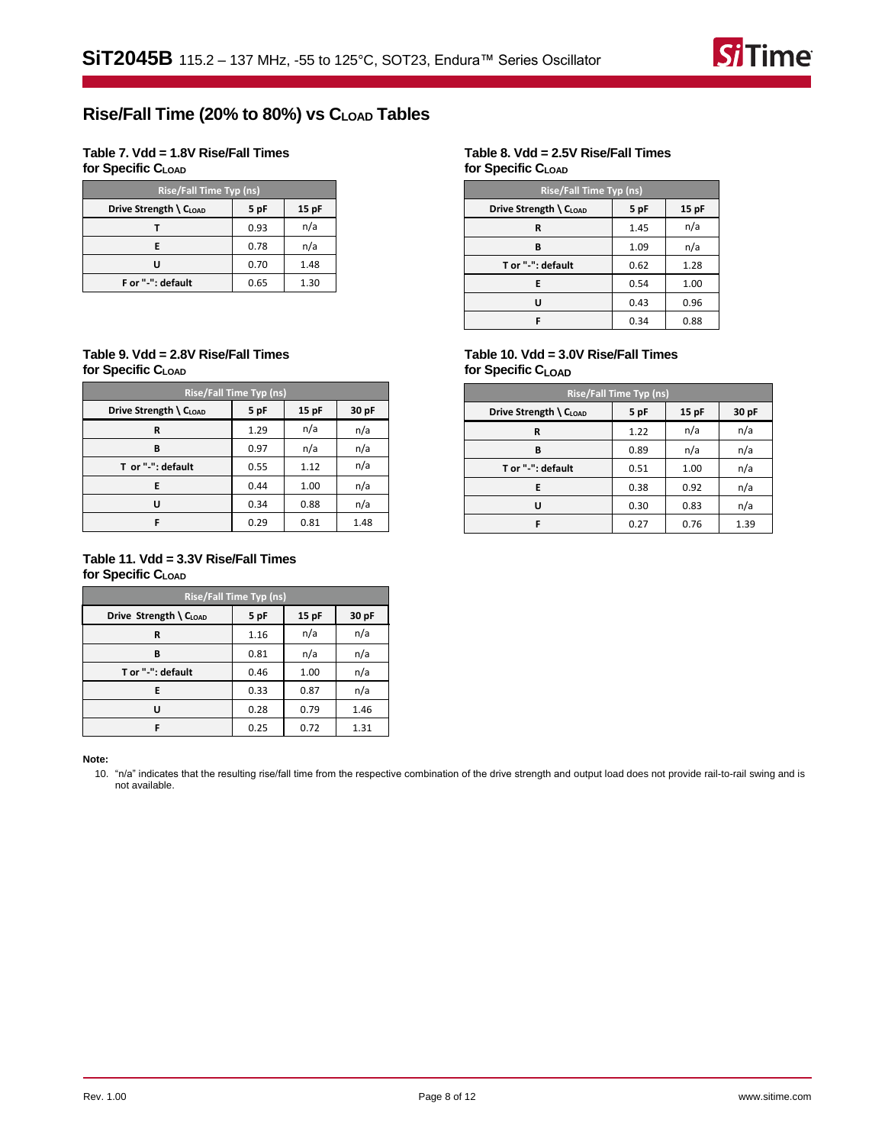

# <span id="page-7-0"></span>**Rise/Fall Time (20% to 80%) vs CLOAD Tables**

<span id="page-7-1"></span>**Table 7. Vdd = 1.8V Rise/Fall Times for Specific CLOAD**

| <b>Rise/Fall Time Typ (ns)</b> |      |         |  |  |
|--------------------------------|------|---------|--|--|
| Drive Strength \ CLOAD         | 5 pF | $15$ pF |  |  |
|                                | 0.93 | n/a     |  |  |
| E                              | 0.78 | n/a     |  |  |
| U                              | 0.70 | 1.48    |  |  |
| F or "-": default              | 0.65 | 1.30    |  |  |

#### **Table 9. Vdd = 2.8V Rise/Fall Times for Specific CLOAD**

| <b>Rise/Fall Time Typ (ns)</b> |      |       |       |  |
|--------------------------------|------|-------|-------|--|
| Drive Strength \ CLOAD         | 5 pF | 15 pF | 30 pF |  |
| R                              | 1.29 | n/a   | n/a   |  |
| В                              | 0.97 | n/a   | n/a   |  |
| T or "-": default              | 0.55 | 1.12  | n/a   |  |
| E                              | 0.44 | 1.00  | n/a   |  |
| U                              | 0.34 | 0.88  | n/a   |  |
| F                              | 0.29 | 0.81  | 1.48  |  |

## <span id="page-7-2"></span>**Table 11. Vdd = 3.3V Rise/Fall Times for Specific CLOAD**

| <b>Rise/Fall Time Typ (ns)</b> |      |       |       |  |
|--------------------------------|------|-------|-------|--|
| Drive Strength \ CLOAD         | 5 pF | 15 pF | 30 pF |  |
| R                              | 1.16 | n/a   | n/a   |  |
| B                              | 0.81 | n/a   | n/a   |  |
| T or "-": default              | 0.46 | 1.00  | n/a   |  |
| E                              | 0.33 | 0.87  | n/a   |  |
| u                              | 0.28 | 0.79  | 1.46  |  |
| F                              | 0.25 | 0.72  | 1.31  |  |

#### <span id="page-7-3"></span>**Note:**

10. "n/a" indicates that the resulting rise/fall time from the respective combination of the drive strength and output load does not provide rail-to-rail swing and is not available.

### **Table 8. Vdd = 2.5V Rise/Fall Times for Specific CLOAD**

| <b>Rise/Fall Time Typ (ns)</b> |      |       |  |  |
|--------------------------------|------|-------|--|--|
| Drive Strength \ CLOAD         | 5 pF | 15 pF |  |  |
| R                              | 1.45 | n/a   |  |  |
| B                              | 1.09 | n/a   |  |  |
| T or "-": default              | 0.62 | 1.28  |  |  |
| Е                              | 0.54 | 1.00  |  |  |
| ш                              | 0.43 | 0.96  |  |  |
|                                | 0.34 | 0.88  |  |  |

### **Table 10. Vdd = 3.0V Rise/Fall Times for Specific CLOAD**

| <b>Rise/Fall Time Typ (ns)</b> |      |      |       |  |
|--------------------------------|------|------|-------|--|
| Drive Strength \ CLOAD         | 5 pF | 15pF | 30 pF |  |
| R                              | 1.22 | n/a  | n/a   |  |
| в                              | 0.89 | n/a  | n/a   |  |
| T or "-": default              | 0.51 | 1.00 | n/a   |  |
| Е                              | 0.38 | 0.92 | n/a   |  |
| u                              | 0.30 | 0.83 | n/a   |  |
| F                              | 0.27 | 0.76 | 1.39  |  |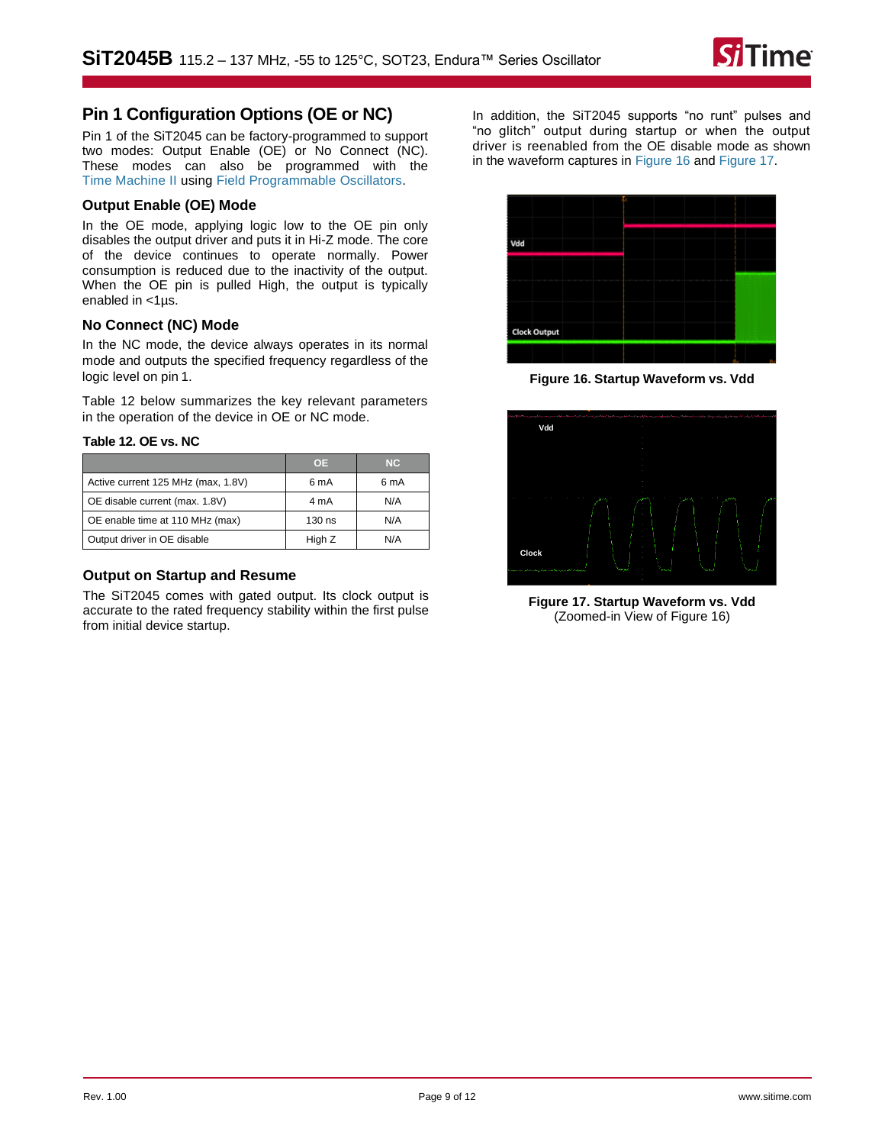

# **Pin 1 Configuration Options (OE or NC)**

Pin 1 of the [SiT2045](https://www.sitime.com/products/automotive-oscillators-clock-generators/sit2025) can be factory-programmed to support two modes: Output Enable (OE) or No Connect (NC). These modes can also be programmed with the [Time Machine II](http://www.sitime.com/time-machine) usin[g Field Programmable](http://www.sitime.com/fp-devices) [Oscillators.](http://www.sitime.com/fp-devices)

### **Output Enable (OE) Mode**

In the OE mode, applying logic low to the OE pin only disables the output driver and puts it in Hi-Z mode. The core of the device continues to operate normally. Power consumption is reduced due to the inactivity of the output. When the OE pin is pulled High, the output is typically enabled in <1µs.

## **No Connect (NC) Mode**

In the NC mode, the device always operates in its normal mode and outputs the specified frequency regardless of the logic level on pin 1.

[Table 12](#page-8-0) below summarizes the key relevant parameters in the operation of the device in OE or NC mode.

### <span id="page-8-0"></span>**Table 12. OE vs. NC**

|                                    | <b>OE</b> | NC.  |
|------------------------------------|-----------|------|
| Active current 125 MHz (max, 1.8V) | 6 mA      | 6 mA |
| OE disable current (max. 1.8V)     | 4 mA      | N/A  |
| OE enable time at 110 MHz (max)    | 130 ns    | N/A  |
| Output driver in OE disable        | High Z    | N/A  |

### **Output on Startup and Resume**

The SiT2045 comes with gated output. Its clock output is accurate to the rated frequency stability within the first pulse from initial device startup.

In addition, the SiT2045 supports "no runt" pulses and "no glitch" output during startup or when the output driver is reenabled from the OE disable mode as shown in the waveform captures i[n Figure 16](#page-8-1) an[d Figure 17.](#page-8-2)



**Figure 16. Startup Waveform vs. Vdd**

<span id="page-8-1"></span>

<span id="page-8-2"></span>**Figure 17. Startup Waveform vs. Vdd**  (Zoomed-in View of [Figure 16\)](#page-8-1)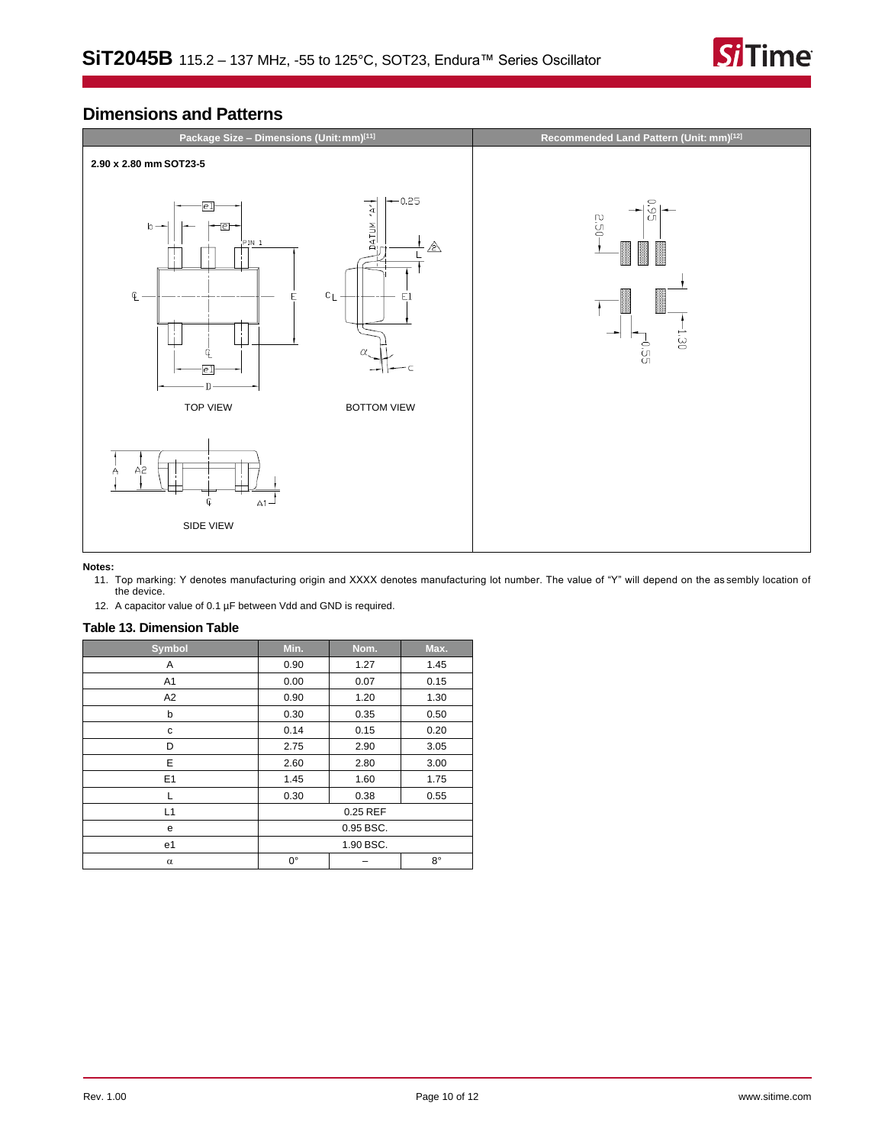

# **Dimensions and Patterns**



### <span id="page-9-0"></span>**Notes:**

- 11. Top marking: Y denotes manufacturing origin and XXXX denotes manufacturing lot number. The value of "Y" will depend on the as sembly location of the device.
- 12. A capacitor value of 0.1 µF between Vdd and GND is required.

# <span id="page-9-1"></span>**Table 13. Dimension Table**

| Symbol         | Min.        | Nom. | Max.        |
|----------------|-------------|------|-------------|
| Α              | 0.90        | 1.27 | 1.45        |
| A <sub>1</sub> | 0.00        | 0.07 | 0.15        |
| A <sub>2</sub> | 0.90        | 1.20 | 1.30        |
| b              | 0.30        | 0.35 | 0.50        |
| с              | 0.14        | 0.15 | 0.20        |
| D              | 2.75        | 2.90 | 3.05        |
| E              | 2.60        | 2.80 | 3.00        |
| E1             | 1.45        | 1.60 | 1.75        |
| L              | 0.30        | 0.38 | 0.55        |
| L1             | 0.25 REF    |      |             |
| e              | 0.95 BSC.   |      |             |
| e1             | 1.90 BSC.   |      |             |
| $\alpha$       | $0^{\circ}$ |      | $8^{\circ}$ |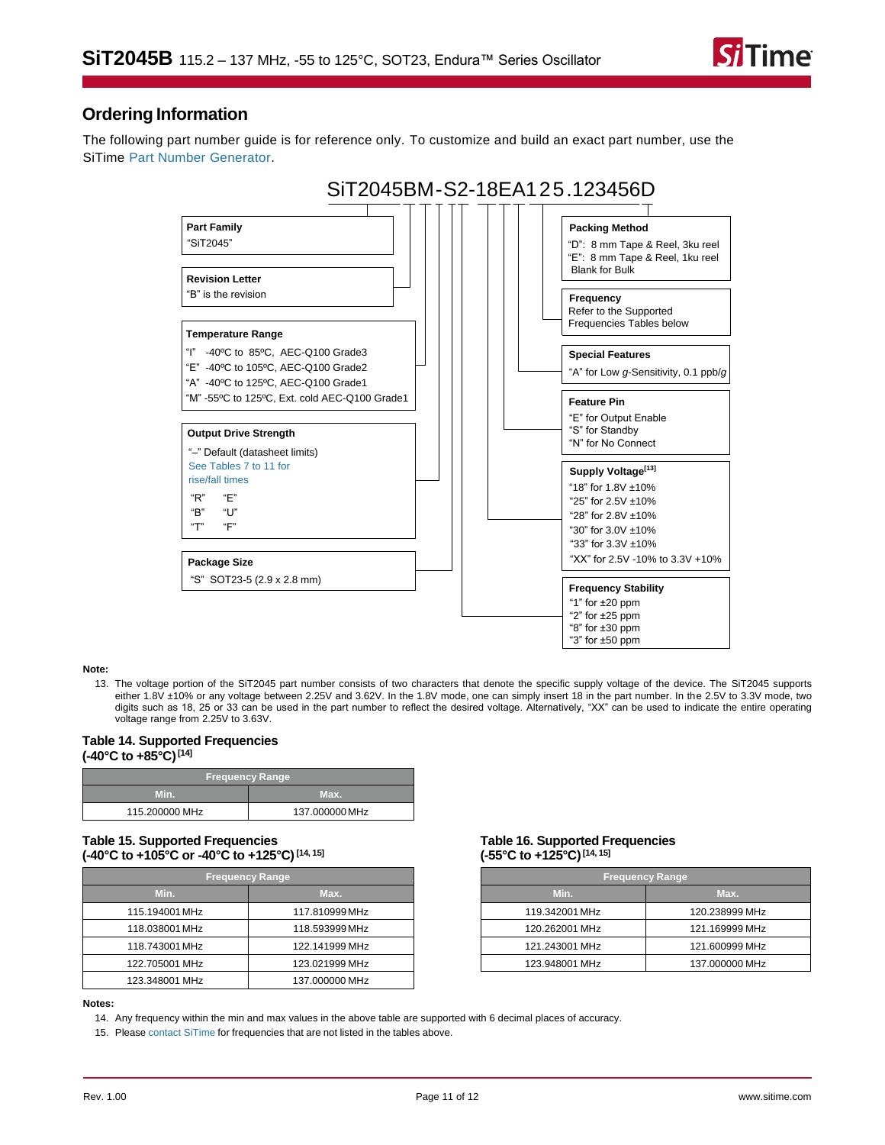

# **Ordering Information**

The following part number guide is for reference only. To customize and build an exact part number, use the SiTime [Part Number Generator.](https://www.sitime.com/part-number-generator?product=SiT2045)



#### <span id="page-10-3"></span>**Note:**

13. The voltage portion of the SiT2045 part number consists of two characters that denote the specific supply voltage of the device. The SiT2045 supports either 1.8V ±10% or any voltage between 2.25V and 3.62V. In the 1.8V mode, one can simply insert 18 in the part number. In the 2.5V to 3.3V mode, two digits such as 18, 25 or 33 can be used in the part number to reflect the desired voltage. Alternatively, "XX" can be used to indicate the entire operating voltage range from 2.25V to 3.63V.

#### <span id="page-10-0"></span>**Table 14. Supported Frequencies (-40°C to +85°C)[\[14\]](#page-10-4)**

| <b>Frequency Range</b> |                |
|------------------------|----------------|
| wm                     | Max.           |
| 115.200000 MHz         | 137.000000 MHz |

### **Table 15. Supported Frequencies (-40°C to +105°C or -40°C to +125°C)[\[14,](#page-10-4) [15\]](#page-10-5)**

| <b>Frequency Range</b> |                |  |
|------------------------|----------------|--|
| Min.                   | Max.           |  |
| 115.194001 MHz         | 117.810999 MHz |  |
| 118.038001 MHz         | 118.593999 MHz |  |
| 118.743001 MHz         | 122.141999 MHz |  |
| 122.705001 MHz         | 123.021999 MHz |  |
| 123.348001 MHz         | 137.000000 MHz |  |

#### <span id="page-10-1"></span>**Table 16. Supported Frequencies (-55°C to +125°C)[\[14,](#page-10-4) [15\]](#page-10-5)**

| <b>Frequency Range</b> |                |  |
|------------------------|----------------|--|
| Min.<br>Max.           |                |  |
| 119.342001 MHz         | 120.238999 MHz |  |
| 120.262001 MHz         | 121.169999 MHz |  |
| 121.243001 MHz         | 121.600999 MHz |  |
| 123.948001 MHz         | 137.000000 MHz |  |

#### <span id="page-10-4"></span><span id="page-10-2"></span>**Notes:**

<span id="page-10-5"></span>14. Any frequency within the min and max values in the above table are supported with 6 decimal places of accuracy.

15. Please [contact SiTime](https://www.sitime.com/contact-us) for frequencies that are not listed in the tables above.